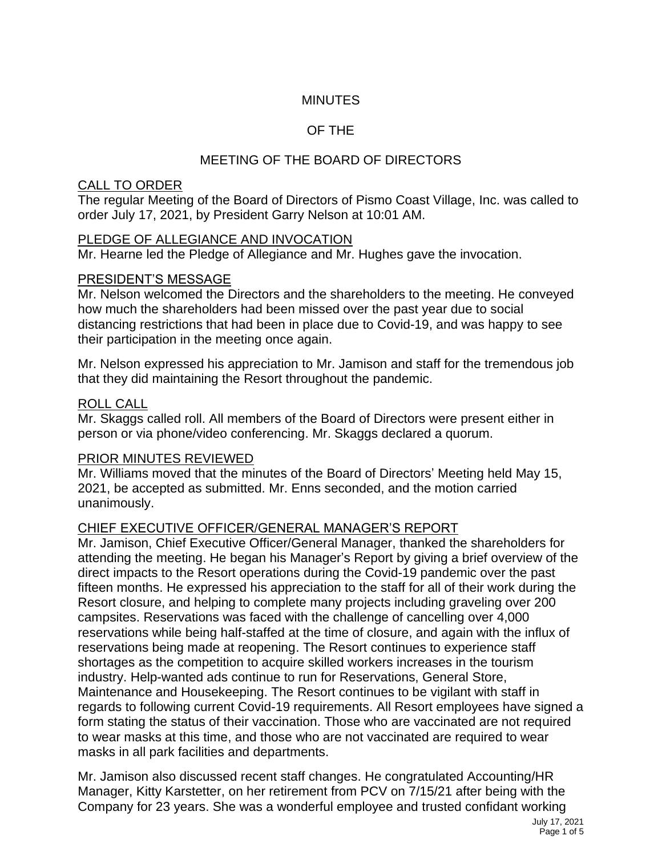# **MINUTES**

# OF THE

# MEETING OF THE BOARD OF DIRECTORS

#### CALL TO ORDER

The regular Meeting of the Board of Directors of Pismo Coast Village, Inc. was called to order July 17, 2021, by President Garry Nelson at 10:01 AM.

# PLEDGE OF ALLEGIANCE AND INVOCATION

Mr. Hearne led the Pledge of Allegiance and Mr. Hughes gave the invocation.

# PRESIDENT'S MESSAGE

Mr. Nelson welcomed the Directors and the shareholders to the meeting. He conveyed how much the shareholders had been missed over the past year due to social distancing restrictions that had been in place due to Covid-19, and was happy to see their participation in the meeting once again.

Mr. Nelson expressed his appreciation to Mr. Jamison and staff for the tremendous job that they did maintaining the Resort throughout the pandemic.

### ROLL CALL

Mr. Skaggs called roll. All members of the Board of Directors were present either in person or via phone/video conferencing. Mr. Skaggs declared a quorum.

# PRIOR MINUTES REVIEWED

Mr. Williams moved that the minutes of the Board of Directors' Meeting held May 15, 2021, be accepted as submitted. Mr. Enns seconded, and the motion carried unanimously.

# CHIEF EXECUTIVE OFFICER/GENERAL MANAGER'S REPORT

Mr. Jamison, Chief Executive Officer/General Manager, thanked the shareholders for attending the meeting. He began his Manager's Report by giving a brief overview of the direct impacts to the Resort operations during the Covid-19 pandemic over the past fifteen months. He expressed his appreciation to the staff for all of their work during the Resort closure, and helping to complete many projects including graveling over 200 campsites. Reservations was faced with the challenge of cancelling over 4,000 reservations while being half-staffed at the time of closure, and again with the influx of reservations being made at reopening. The Resort continues to experience staff shortages as the competition to acquire skilled workers increases in the tourism industry. Help-wanted ads continue to run for Reservations, General Store, Maintenance and Housekeeping. The Resort continues to be vigilant with staff in regards to following current Covid-19 requirements. All Resort employees have signed a form stating the status of their vaccination. Those who are vaccinated are not required to wear masks at this time, and those who are not vaccinated are required to wear masks in all park facilities and departments.

Mr. Jamison also discussed recent staff changes. He congratulated Accounting/HR Manager, Kitty Karstetter, on her retirement from PCV on 7/15/21 after being with the Company for 23 years. She was a wonderful employee and trusted confidant working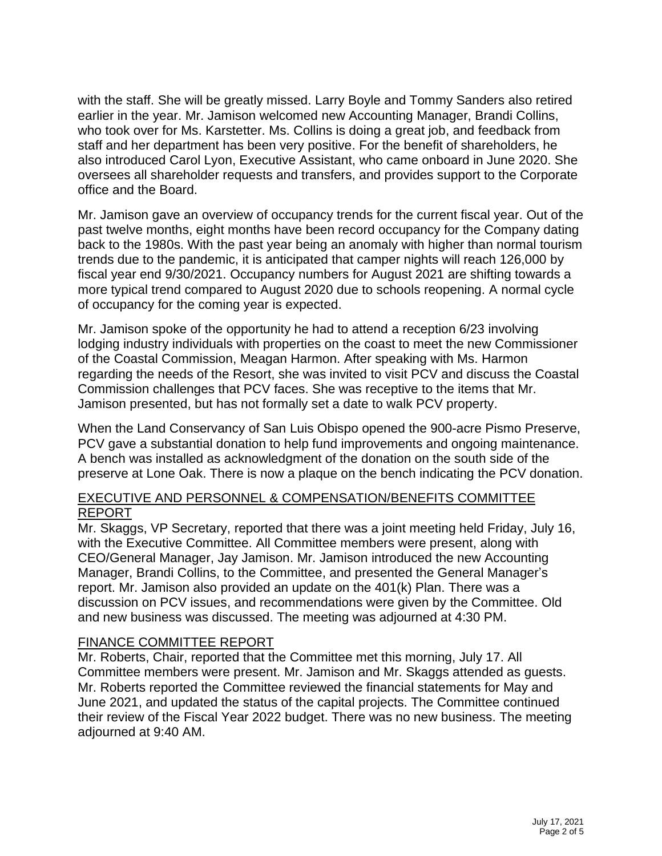with the staff. She will be greatly missed. Larry Boyle and Tommy Sanders also retired earlier in the year. Mr. Jamison welcomed new Accounting Manager, Brandi Collins, who took over for Ms. Karstetter. Ms. Collins is doing a great job, and feedback from staff and her department has been very positive. For the benefit of shareholders, he also introduced Carol Lyon, Executive Assistant, who came onboard in June 2020. She oversees all shareholder requests and transfers, and provides support to the Corporate office and the Board.

Mr. Jamison gave an overview of occupancy trends for the current fiscal year. Out of the past twelve months, eight months have been record occupancy for the Company dating back to the 1980s. With the past year being an anomaly with higher than normal tourism trends due to the pandemic, it is anticipated that camper nights will reach 126,000 by fiscal year end 9/30/2021. Occupancy numbers for August 2021 are shifting towards a more typical trend compared to August 2020 due to schools reopening. A normal cycle of occupancy for the coming year is expected.

Mr. Jamison spoke of the opportunity he had to attend a reception 6/23 involving lodging industry individuals with properties on the coast to meet the new Commissioner of the Coastal Commission, Meagan Harmon. After speaking with Ms. Harmon regarding the needs of the Resort, she was invited to visit PCV and discuss the Coastal Commission challenges that PCV faces. She was receptive to the items that Mr. Jamison presented, but has not formally set a date to walk PCV property.

When the Land Conservancy of San Luis Obispo opened the 900-acre Pismo Preserve, PCV gave a substantial donation to help fund improvements and ongoing maintenance. A bench was installed as acknowledgment of the donation on the south side of the preserve at Lone Oak. There is now a plaque on the bench indicating the PCV donation.

# EXECUTIVE AND PERSONNEL & COMPENSATION/BENEFITS COMMITTEE REPORT

Mr. Skaggs, VP Secretary, reported that there was a joint meeting held Friday, July 16, with the Executive Committee. All Committee members were present, along with CEO/General Manager, Jay Jamison. Mr. Jamison introduced the new Accounting Manager, Brandi Collins, to the Committee, and presented the General Manager's report. Mr. Jamison also provided an update on the 401(k) Plan. There was a discussion on PCV issues, and recommendations were given by the Committee. Old and new business was discussed. The meeting was adjourned at 4:30 PM.

# FINANCE COMMITTEE REPORT

Mr. Roberts, Chair, reported that the Committee met this morning, July 17. All Committee members were present. Mr. Jamison and Mr. Skaggs attended as guests. Mr. Roberts reported the Committee reviewed the financial statements for May and June 2021, and updated the status of the capital projects. The Committee continued their review of the Fiscal Year 2022 budget. There was no new business. The meeting adjourned at 9:40 AM.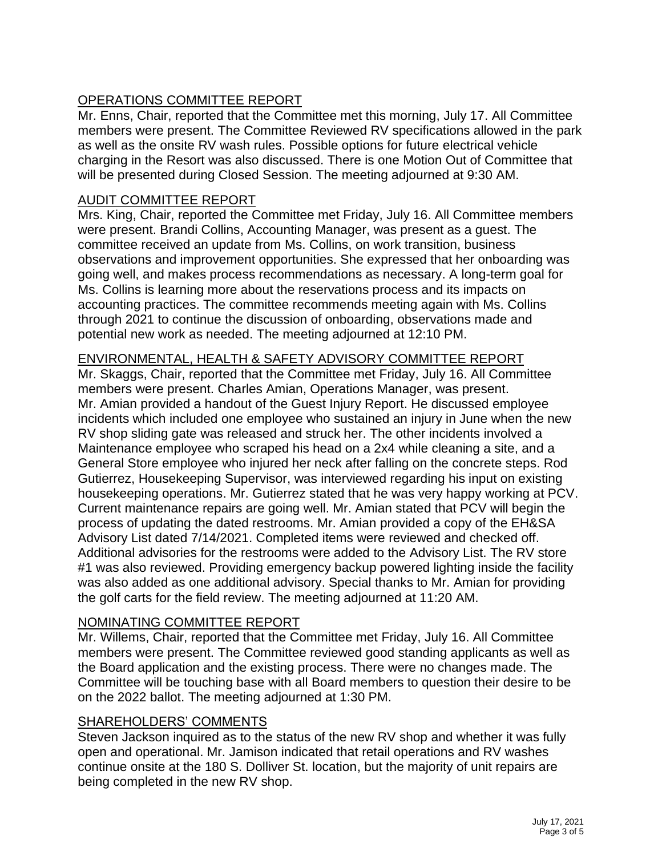# OPERATIONS COMMITTEE REPORT

Mr. Enns, Chair, reported that the Committee met this morning, July 17. All Committee members were present. The Committee Reviewed RV specifications allowed in the park as well as the onsite RV wash rules. Possible options for future electrical vehicle charging in the Resort was also discussed. There is one Motion Out of Committee that will be presented during Closed Session. The meeting adjourned at 9:30 AM.

# AUDIT COMMITTEE REPORT

Mrs. King, Chair, reported the Committee met Friday, July 16. All Committee members were present. Brandi Collins, Accounting Manager, was present as a guest. The committee received an update from Ms. Collins, on work transition, business observations and improvement opportunities. She expressed that her onboarding was going well, and makes process recommendations as necessary. A long-term goal for Ms. Collins is learning more about the reservations process and its impacts on accounting practices. The committee recommends meeting again with Ms. Collins through 2021 to continue the discussion of onboarding, observations made and potential new work as needed. The meeting adjourned at 12:10 PM.

# ENVIRONMENTAL, HEALTH & SAFETY ADVISORY COMMITTEE REPORT

Mr. Skaggs, Chair, reported that the Committee met Friday, July 16. All Committee members were present. Charles Amian, Operations Manager, was present. Mr. Amian provided a handout of the Guest Injury Report. He discussed employee incidents which included one employee who sustained an injury in June when the new RV shop sliding gate was released and struck her. The other incidents involved a Maintenance employee who scraped his head on a 2x4 while cleaning a site, and a General Store employee who injured her neck after falling on the concrete steps. Rod Gutierrez, Housekeeping Supervisor, was interviewed regarding his input on existing housekeeping operations. Mr. Gutierrez stated that he was very happy working at PCV. Current maintenance repairs are going well. Mr. Amian stated that PCV will begin the process of updating the dated restrooms. Mr. Amian provided a copy of the EH&SA Advisory List dated 7/14/2021. Completed items were reviewed and checked off. Additional advisories for the restrooms were added to the Advisory List. The RV store #1 was also reviewed. Providing emergency backup powered lighting inside the facility was also added as one additional advisory. Special thanks to Mr. Amian for providing the golf carts for the field review. The meeting adjourned at 11:20 AM.

# NOMINATING COMMITTEE REPORT

Mr. Willems, Chair, reported that the Committee met Friday, July 16. All Committee members were present. The Committee reviewed good standing applicants as well as the Board application and the existing process. There were no changes made. The Committee will be touching base with all Board members to question their desire to be on the 2022 ballot. The meeting adjourned at 1:30 PM.

# SHAREHOLDERS' COMMENTS

Steven Jackson inquired as to the status of the new RV shop and whether it was fully open and operational. Mr. Jamison indicated that retail operations and RV washes continue onsite at the 180 S. Dolliver St. location, but the majority of unit repairs are being completed in the new RV shop.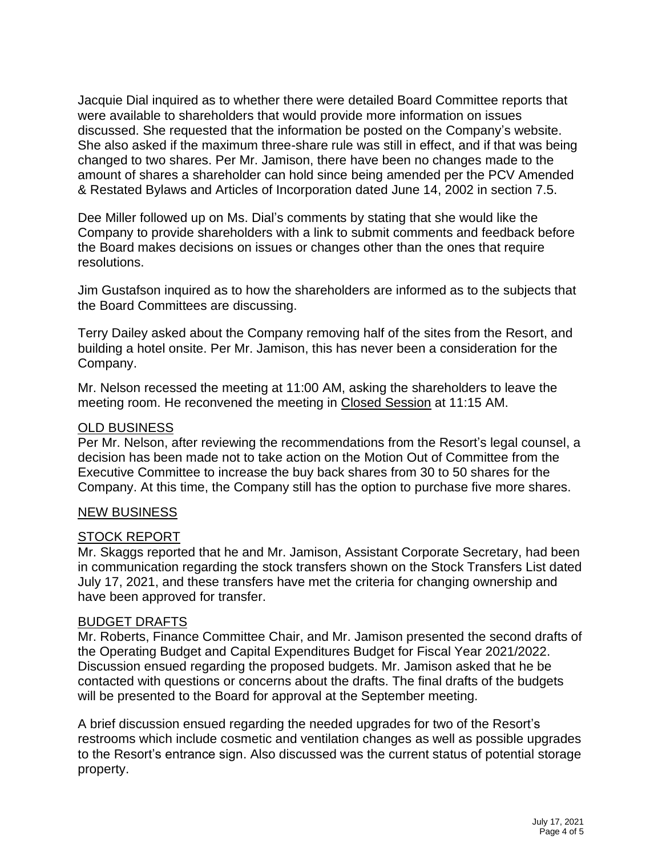Jacquie Dial inquired as to whether there were detailed Board Committee reports that were available to shareholders that would provide more information on issues discussed. She requested that the information be posted on the Company's website. She also asked if the maximum three-share rule was still in effect, and if that was being changed to two shares. Per Mr. Jamison, there have been no changes made to the amount of shares a shareholder can hold since being amended per the PCV Amended & Restated Bylaws and Articles of Incorporation dated June 14, 2002 in section 7.5.

Dee Miller followed up on Ms. Dial's comments by stating that she would like the Company to provide shareholders with a link to submit comments and feedback before the Board makes decisions on issues or changes other than the ones that require resolutions.

Jim Gustafson inquired as to how the shareholders are informed as to the subjects that the Board Committees are discussing.

Terry Dailey asked about the Company removing half of the sites from the Resort, and building a hotel onsite. Per Mr. Jamison, this has never been a consideration for the Company.

Mr. Nelson recessed the meeting at 11:00 AM, asking the shareholders to leave the meeting room. He reconvened the meeting in Closed Session at 11:15 AM.

#### OLD BUSINESS

Per Mr. Nelson, after reviewing the recommendations from the Resort's legal counsel, a decision has been made not to take action on the Motion Out of Committee from the Executive Committee to increase the buy back shares from 30 to 50 shares for the Company. At this time, the Company still has the option to purchase five more shares.

#### NEW BUSINESS

#### STOCK REPORT

Mr. Skaggs reported that he and Mr. Jamison, Assistant Corporate Secretary, had been in communication regarding the stock transfers shown on the Stock Transfers List dated July 17, 2021, and these transfers have met the criteria for changing ownership and have been approved for transfer.

#### BUDGET DRAFTS

Mr. Roberts, Finance Committee Chair, and Mr. Jamison presented the second drafts of the Operating Budget and Capital Expenditures Budget for Fiscal Year 2021/2022. Discussion ensued regarding the proposed budgets. Mr. Jamison asked that he be contacted with questions or concerns about the drafts. The final drafts of the budgets will be presented to the Board for approval at the September meeting.

A brief discussion ensued regarding the needed upgrades for two of the Resort's restrooms which include cosmetic and ventilation changes as well as possible upgrades to the Resort's entrance sign. Also discussed was the current status of potential storage property.